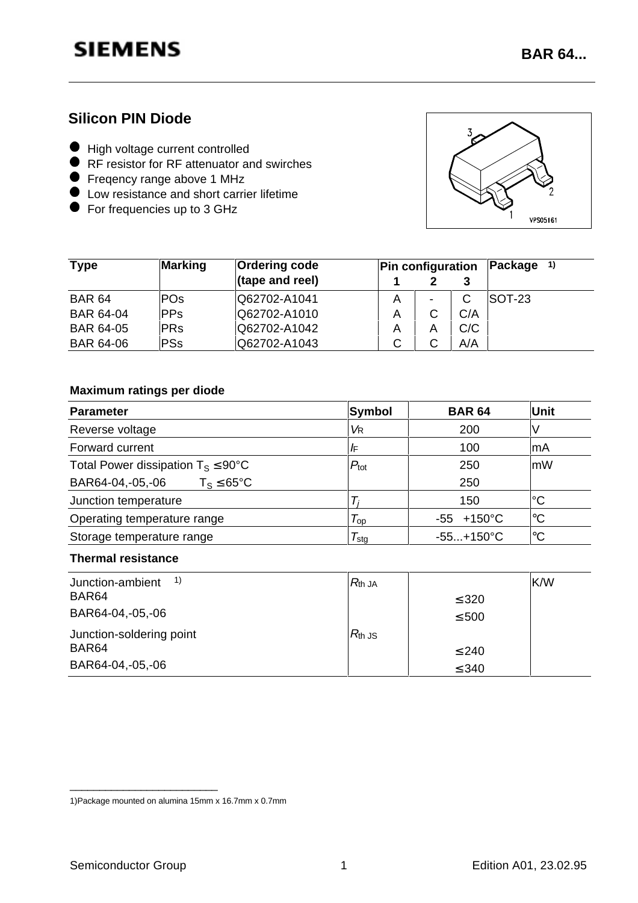**BAR 64...**

### **Silicon PIN Diode**

- l High voltage current controlled
- Figh voltage current controlled<br>• RF resistor for RF attenuator and swirches
- **SET FRESISTOF TO THE ALL PROPERTY**<br>**•** Freqency range above 1 MHz
- Frequitcy range above T MHZ<br>• Low resistance and short carrier lifetime
- Low resistance and short can<br>• For frequencies up to 3 GHz



| <b>Type</b>      | Marking    | <b>Ordering code</b> | <b>Pin configuration</b> |   |     | $Package$ <sup>1)</sup> |
|------------------|------------|----------------------|--------------------------|---|-----|-------------------------|
|                  |            | (tape and reel)      |                          |   |     |                         |
| <b>BAR 64</b>    | <b>POs</b> | Q62702-A1041         | Α                        | - | C   | ISOT-23                 |
| <b>BAR 64-04</b> | <b>PPs</b> | Q62702-A1010         | A                        | C | C/A |                         |
| <b>BAR 64-05</b> | <b>PRs</b> | Q62702-A1042         | A                        | A | C/C |                         |
| <b>BAR 64-06</b> | PSs        | Q62702-A1043         | ◡                        | С | A/A |                         |

### **Maximum ratings per diode**

| <b>Parameter</b>                                | Symbol                    | <b>BAR 64</b>         | <b>Unit</b>     |
|-------------------------------------------------|---------------------------|-----------------------|-----------------|
| Reverse voltage                                 | VR                        | 200                   | V               |
| Forward current                                 | /F                        | 100                   | lmA             |
| Total Power dissipation $T_S \leq 90^{\circ}$ C | $P_{\text{tot}}$          | 250                   | mW              |
| BAR64-04,-05,-06<br>$T_S \leq 65^{\circ}C$      |                           | 250                   |                 |
| Junction temperature                            |                           | 150                   | l°C             |
| Operating temperature range                     | $\tau_{\text{\tiny{op}}}$ | $-55 + 150^{\circ}$ C | ∣℃              |
| Storage temperature range                       | l sta                     | $-55+150^{\circ}C$    | $\rm ^{\circ}C$ |

### **Thermal resistance**

| $\left( \begin{array}{c} 1 \end{array} \right)$<br>Junction-ambient | $R_{\mathsf{th}}$ JA |            | K/W |
|---------------------------------------------------------------------|----------------------|------------|-----|
| BAR <sub>64</sub>                                                   |                      | $\leq$ 320 |     |
| BAR64-04,-05,-06                                                    |                      | $\leq 500$ |     |
| Junction-soldering point                                            | $R_{\text{th}}$ JS   |            |     |
| BAR <sub>64</sub>                                                   |                      | $\leq 240$ |     |
| BAR64-04,-05,-06                                                    |                      | $\leq 340$ |     |

\_\_\_\_\_\_\_\_\_\_\_\_\_\_\_\_\_\_\_\_\_\_\_\_\_

<sup>1)</sup>Package mounted on alumina 15mm x 16.7mm x 0.7mm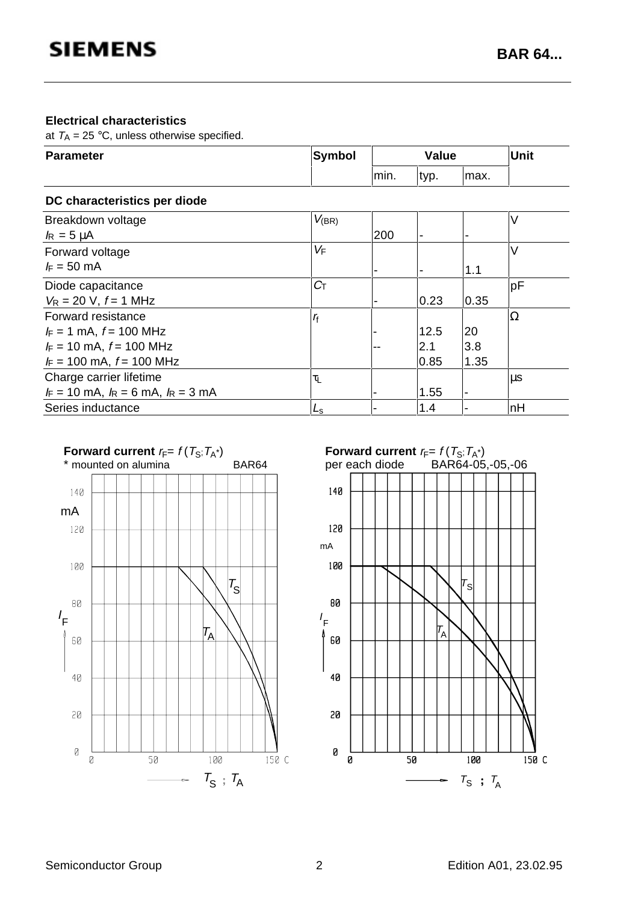#### **Electrical characteristics**

at  $T_A = 25 \degree C$ , unless otherwise specified.

| <b>Parameter</b>                          | <b>Symbol</b>       |       | <b>Value</b> | Unit  |    |
|-------------------------------------------|---------------------|-------|--------------|-------|----|
|                                           |                     | lmin. | typ.         | lmax. |    |
| DC characteristics per diode              |                     |       |              |       |    |
| Breakdown voltage                         | $V_{(BR)}$          |       |              |       | V  |
| $I_R = 5 \mu A$                           |                     | 200   |              |       |    |
| Forward voltage                           | VF                  |       |              |       | V  |
| $F = 50$ mA                               |                     |       |              | 1.1   |    |
| Diode capacitance                         | $C_{\text{T}}$      |       |              |       | pF |
| $V_R = 20$ V, $f = 1$ MHz                 |                     |       | 0.23         | 0.35  |    |
| Forward resistance                        | $r_{\rm f}$         |       |              |       | Ω  |
| $I_F = 1$ mA, $f = 100$ MHz               |                     |       | 12.5         | 20    |    |
| $I_F = 10$ mA, $f = 100$ MHz              |                     |       | 2.1          | 3.8   |    |
| $I_F = 100$ mA, $f = 100$ MHz             |                     |       | 0.85         | 1.35  |    |
| Charge carrier lifetime                   | $\tau_{\mathsf{L}}$ |       |              |       | μs |
| $I_F = 10$ mA, $I_R = 6$ mA, $I_R = 3$ mA |                     |       | 1.55         |       |    |
| Series inductance                         | Ls                  |       | 1.4          |       | nH |



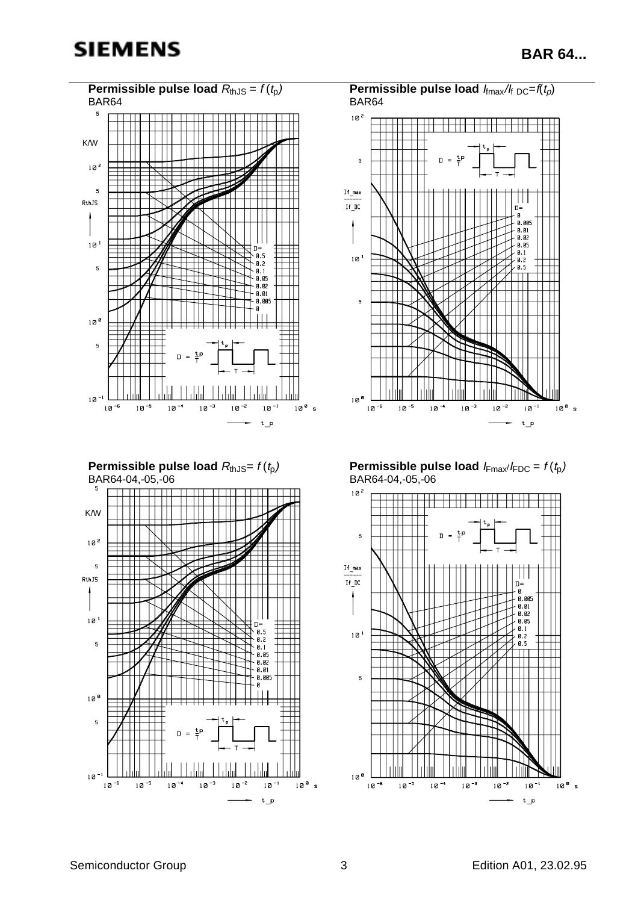## **SIEMENS**

**BAR 64...**

 $10^8$  s



 $10^8$  s